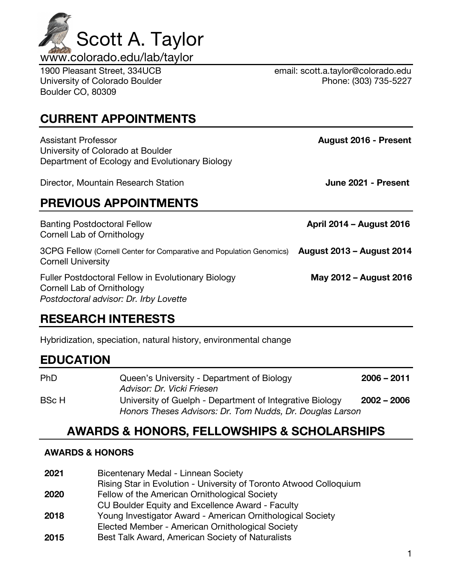1

| Assistant Professor<br>University of Colorado at Boulder<br>Department of Ecology and Evolutionary Biology                        | August 2016 - Present            |
|-----------------------------------------------------------------------------------------------------------------------------------|----------------------------------|
| Director, Mountain Research Station                                                                                               | June 2021 - Present              |
| <b>PREVIOUS APPOINTMENTS</b>                                                                                                      |                                  |
| <b>Banting Postdoctoral Fellow</b><br>Cornell Lab of Ornithology                                                                  | April 2014 - August 2016         |
| 3CPG Fellow (Cornell Center for Comparative and Population Genomics)<br><b>Cornell University</b>                                 | <b>August 2013 - August 2014</b> |
| <b>Fuller Postdoctoral Fellow in Evolutionary Biology</b><br>Cornell Lab of Ornithology<br>Postdoctoral advisor: Dr. Irby Lovette | May 2012 – August 2016           |

## **CURRENT APPOINTMENTS**

Boulder CO, 80309

## **RESEARCH INTERESTS**

Hybridization, speciation, natural history, environmental change

## **EDUCATION**

| <b>PhD</b>   | Queen's University - Department of Biology<br>Advisor: Dr. Vicki Friesen                                              | $2006 - 2011$ |
|--------------|-----------------------------------------------------------------------------------------------------------------------|---------------|
| <b>BSc H</b> | University of Guelph - Department of Integrative Biology<br>Honors Theses Advisors: Dr. Tom Nudds, Dr. Douglas Larson | $2002 - 2006$ |

## **AWARDS & HONORS, FELLOWSHIPS & SCHOLARSHIPS**

### **AWARDS & HONORS**

**2021** Bicentenary Medal - Linnean Society Rising Star in Evolution - University of Toronto Atwood Colloquium **2020** Fellow of the American Ornithological Society CU Boulder Equity and Excellence Award - Faculty **2018** Young Investigator Award - American Ornithological Society Elected Member - American Ornithological Society



1900 Pleasant Street, 334UCB email: scott.a.taylor@colorado.edu University of Colorado Boulder **Phone: (303) 735-5227**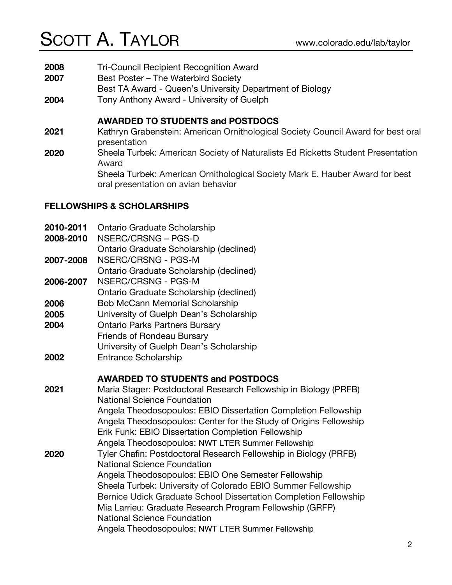- **2008** Tri-Council Recipient Recognition Award
- **2007** Best Poster The Waterbird Society
- Best TA Award Queen's University Department of Biology
- **2004** Tony Anthony Award University of Guelph

#### **AWARDED TO STUDENTS and POSTDOCS**

- **2021** Kathryn Grabenstein: American Ornithological Society Council Award for best oral presentation
- **2020** Sheela Turbek: American Society of Naturalists Ed Ricketts Student Presentation Award

Sheela Turbek: American Ornithological Society Mark E. Hauber Award for best oral presentation on avian behavior

#### **FELLOWSHIPS & SCHOLARSHIPS**

**2010-2011** Ontario Graduate Scholarship **2008-2010** NSERC/CRSNG – PGS-D Ontario Graduate Scholarship (declined) **2007-2008** NSERC/CRSNG - PGS-M Ontario Graduate Scholarship (declined) **2006-2007** NSERC/CRSNG - PGS-M Ontario Graduate Scholarship (declined) **2006** Bob McCann Memorial Scholarship **2005** University of Guelph Dean's Scholarship **2004** Ontario Parks Partners Bursary Friends of Rondeau Bursary University of Guelph Dean's Scholarship **2002** Entrance Scholarship **AWARDED TO STUDENTS and POSTDOCS 2021** Maria Stager: Postdoctoral Research Fellowship in Biology (PRFB) National Science Foundation Angela Theodosopoulos: EBIO Dissertation Completion Fellowship Angela Theodosopoulos: Center for the Study of Origins Fellowship Erik Funk: EBIO Dissertation Completion Fellowship Angela Theodosopoulos: NWT LTER Summer Fellowship **2020** Tyler Chafin: Postdoctoral Research Fellowship in Biology (PRFB) National Science Foundation Angela Theodosopoulos: EBIO One Semester Fellowship Sheela Turbek: University of Colorado EBIO Summer Fellowship Bernice Udick Graduate School Dissertation Completion Fellowship Mia Larrieu: Graduate Research Program Fellowship (GRFP) National Science Foundation Angela Theodosopoulos: NWT LTER Summer Fellowship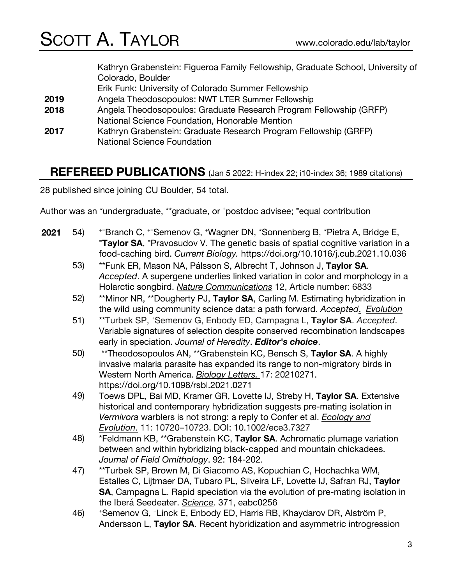|      | Kathryn Grabenstein: Figueroa Family Fellowship, Graduate School, University of |
|------|---------------------------------------------------------------------------------|
|      | Colorado, Boulder                                                               |
|      | Erik Funk: University of Colorado Summer Fellowship                             |
| 2019 | Angela Theodosopoulos: NWT LTER Summer Fellowship                               |
| 2018 | Angela Theodosopoulos: Graduate Research Program Fellowship (GRFP)              |
|      | National Science Foundation, Honorable Mention                                  |
| 2017 | Kathryn Grabenstein: Graduate Research Program Fellowship (GRFP)                |
|      | <b>National Science Foundation</b>                                              |

### **REFEREED PUBLICATIONS** (Jan 5 2022: H-index 22; i10-index 36; 1989 citations)

28 published since joining CU Boulder, 54 total.

Author was an \*undergraduate, \*\*graduate, or +postdoc advisee; <sup>=</sup>equal contribution

- 2021 54)  $*$ FBranch C,  $*$ Semenov G,  $*$ Wagner DN,  $*$ Sonnenberg B,  $*$ Pietra A, Bridge E,  $*$ FRANGE SA,  $*$ FRANGE USA,  $*$ FRANGE USA, The genetic besis of spatial escriptive variation in Taylor SA, <sup>=</sup>Pravosudov V. The genetic basis of spatial cognitive variation in a food-caching bird. *Current Biology.* https://doi.org/10.1016/j.cub.2021.10.036
	- 53) \*\*Funk ER, Mason NA, Pálsson S, Albrecht T, Johnson J, **Taylor SA**. *Accepted*. A supergene underlies linked variation in color and morphology in a Holarctic songbird. *Nature Communications* 12, Article number: 6833
	- 52) \*\*Minor NR, \*\*Dougherty PJ, **Taylor SA**, Carling M. Estimating hybridization in the wild using community science data: a path forward. *Accepted*. *Evolution*
	- 51) \*\*Turbek SP, + Semenov G, Enbody ED, Campagna L, **Taylor SA**. *Accepted*. Variable signatures of selection despite conserved recombination landscapes early in speciation. *Journal of Heredity*. *Editor's choice*.
	- 50) \*\*Theodosopoulos AN, \*\*Grabenstein KC, Bensch S, **Taylor SA**. A highly invasive malaria parasite has expanded its range to non-migratory birds in Western North America. *Biology Letters.* 17: 20210271. https://doi.org/10.1098/rsbl.2021.0271
	- 49) Toews DPL, Bai MD, Kramer GR, Lovette IJ, Streby H, **Taylor SA**. Extensive historical and contemporary hybridization suggests pre-mating isolation in *Vermivora* warblers is not strong: a reply to Confer et al. *Ecology and Evolution*. 11: 10720–10723. DOI: 10.1002/ece3.7327
	- 48) \*Feldmann KB, \*\*Grabenstein KC, **Taylor SA**. Achromatic plumage variation between and within hybridizing black-capped and mountain chickadees. *Journal of Field Ornithology*. 92: 184-202.
	- 47) \*\*Turbek SP, Brown M, Di Giacomo AS, Kopuchian C, Hochachka WM, Estalles C, Lijtmaer DA, Tubaro PL, Silveira LF, Lovette IJ, Safran RJ, **Taylor SA**, Campagna L. Rapid speciation via the evolution of pre-mating isolation in the Iberá Seedeater. *Science*. 371, eabc0256
	- 46) <sup>+</sup> Semenov G, + Linck E, Enbody ED, Harris RB, Khaydarov DR, Alström P, Andersson L, **Taylor SA**. Recent hybridization and asymmetric introgression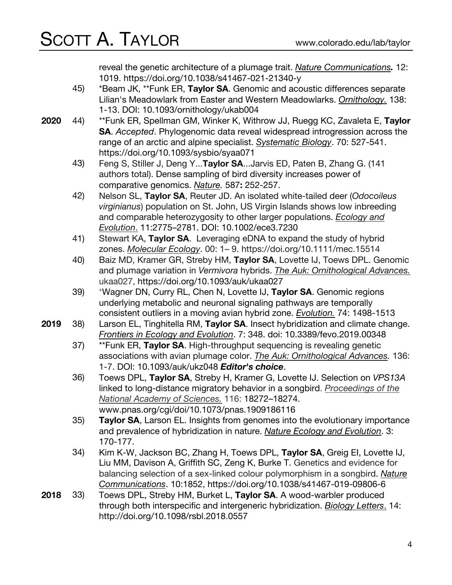reveal the genetic architecture of a plumage trait. *Nature Communications.* 12: 1019. https://doi.org/10.1038/s41467-021-21340-y

- 45) \*Beam JK, \*\*Funk ER, **Taylor SA**. Genomic and acoustic differences separate Lilian's Meadowlark from Easter and Western Meadowlarks. *Ornithology.* 138: 1-13. DOI: 10.1093/ornithology/ukab004
- **2020** 44) \*\*Funk ER, Spellman GM, Winker K, Withrow JJ, Ruegg KC, Zavaleta E, **Taylor SA**. *Accepted*. Phylogenomic data reveal widespread introgression across the range of an arctic and alpine specialist. *Systematic Biology*. 70: 527-541. https://doi.org/10.1093/sysbio/syaa071
	- 43) Feng S, Stiller J, Deng Y...**Taylor SA**...Jarvis ED, Paten B, Zhang G. (141 authors total). Dense sampling of bird diversity increases power of comparative genomics. *Nature.* 587**:** 252-257.
	- 42) Nelson SL, **Taylor SA**, Reuter JD. An isolated white-tailed deer (*Odocoileus virginianus*) population on St. John, US Virgin Islands shows low inbreeding and comparable heterozygosity to other larger populations. *Ecology and Evolution*. 11:2775–2781. DOI: 10.1002/ece3.7230
	- 41) Stewart KA, **Taylor SA**. Leveraging eDNA to expand the study of hybrid zones. *Molecular Ecology*. 00: 1– 9. https://doi.org/10.1111/mec.15514
	- 40) Baiz MD, Kramer GR, Streby HM, **Taylor SA**, Lovette IJ, Toews DPL. Genomic and plumage variation in *Vermivora* hybrids. *The Auk: Ornithological Advances.* ukaa027, https://doi.org/10.1093/auk/ukaa027
	- 39) <sup>+</sup> Wagner DN, Curry RL, Chen N, Lovette IJ, **Taylor SA**. Genomic regions underlying metabolic and neuronal signaling pathways are temporally consistent outliers in a moving avian hybrid zone. *Evolution.* 74: 1498-1513
- **2019** 38) Larson EL, Tinghitella RM, **Taylor SA**. Insect hybridization and climate change. *Frontiers in Ecology and Evolution*. 7: 348. doi: 10.3389/fevo.2019.00348
	- 37) \*\*Funk ER, **Taylor SA**. High-throughput sequencing is revealing genetic associations with avian plumage color. *The Auk: Ornithological Advances.* 136: 1-7. DOI: 10.1093/auk/ukz048 *Editor's choice*.
	- 36) Toews DPL, **Taylor SA**, Streby H, Kramer G, Lovette IJ. Selection on *VPS13A* linked to long-distance migratory behavior in a songbird. *Proceedings of the National Academy of Sciences.* 116: 18272–18274. www.pnas.org/cgi/doi/10.1073/pnas.1909186116
	- 35) **Taylor SA**, Larson EL. Insights from genomes into the evolutionary importance and prevalence of hybridization in nature. *Nature Ecology and Evolution*. 3: 170-177.
	- 34) Kim K-W, Jackson BC, Zhang H, Toews DPL, **Taylor SA**, Greig EI, Lovette IJ, Liu MM, Davison A, Griffith SC, Zeng K, Burke T. Genetics and evidence for balancing selection of a sex-linked colour polymorphism in a songbird. *Nature Communications*. 10:1852, https://doi.org/10.1038/s41467-019-09806-6
- **2018** 33) Toews DPL, Streby HM, Burket L, **Taylor SA**. A wood-warbler produced through both interspecific and intergeneric hybridization. *Biology Letters*. 14: http://doi.org/10.1098/rsbl.2018.0557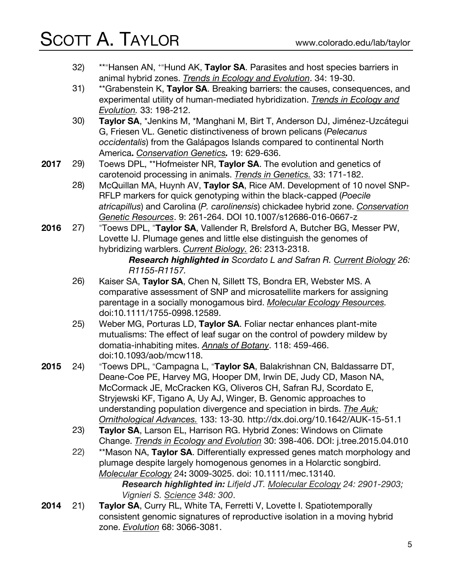- $32)$ \*\*<sup>-</sup>Hansen AN, <sup>+-</sup>Hund AK, Taylor SA. Parasites and host species barriers in animal hybrid zones. *Trends in Ecology and Evolution*. 34: 19-30.
- 31) \*\*Grabenstein K, **Taylor SA**. Breaking barriers: the causes, consequences, and experimental utility of human-mediated hybridization. *Trends in Ecology and Evolution.* 33: 198-212.
- 30) **Taylor SA**, \*Jenkins M, \*Manghani M, Birt T, Anderson DJ, Jiménez-Uzcátegui G, Friesen VL. Genetic distinctiveness of brown pelicans (*Pelecanus occidentalis*) from the Galápagos Islands compared to continental North America**.** *Conservation Genetics.* 19: 629-636.
- **2017** 29) Toews DPL, \*\*Hofmeister NR, **Taylor SA**. The evolution and genetics of carotenoid processing in animals. *Trends in Genetics.* 33: 171-182.
	- 28) McQuillan MA, Huynh AV, **Taylor SA**, Rice AM. Development of 10 novel SNP-RFLP markers for quick genotyping within the black-capped (*Poecile atricapillus*) and Carolina (*P. carolinensis*) chickadee hybrid zone. *Conservation Genetic Resources*. 9: 261-264. DOI 10.1007/s12686-016-0667-z
- **2016** 27) Toews DPL, <sup>=</sup> **Taylor SA**, Vallender R, Brelsford A, Butcher BG, Messer PW, Lovette IJ. Plumage genes and little else distinguish the genomes of hybridizing warblers. *Current Biology.* 26: 2313-2318.

*Research highlighted in Scordato L and Safran R. Current Biology 26: R1155-R1157.*

- 26) Kaiser SA, **Taylor SA**, Chen N, Sillett TS, Bondra ER, Webster MS. A comparative assessment of SNP and microsatellite markers for assigning parentage in a socially monogamous bird. *Molecular Ecology Resources.* doi:10.1111/1755-0998.12589.
- 25) Weber MG, Porturas LD, **Taylor SA**. Foliar nectar enhances plant-mite mutualisms: The effect of leaf sugar on the control of powdery mildew by domatia-inhabiting mites. *Annals of Botany*. 118: 459-466. doi:10.1093/aob/mcw118.
- **2015** 24) Toews DPL, = Campagna L, = **Taylor SA**, Balakrishnan CN, Baldassarre DT, Deane-Coe PE, Harvey MG, Hooper DM, Irwin DE, Judy CD, Mason NA, McCormack JE, McCracken KG, Oliveros CH, Safran RJ, Scordato E, Stryjewski KF, Tigano A, Uy AJ, Winger, B. Genomic approaches to understanding population divergence and speciation in birds. *The Auk: Ornithological Advances.* 133: 13-30*.* http://dx.doi.org/10.1642/AUK-15-51.1
	- 23) **Taylor SA**, Larson EL, Harrison RG. Hybrid Zones: Windows on Climate Change. *Trends in Ecology and Evolution* 30: 398-406. DOI: j.tree.2015.04.010
	- 22) \*\*Mason NA, **Taylor SA**. Differentially expressed genes match morphology and plumage despite largely homogenous genomes in a Holarctic songbird. *Molecular Ecology* 24**:** 3009-3025. doi: 10.1111/mec.13140.

*Research highlighted in: Lifjeld JT. Molecular Ecology 24: 2901-2903; Vignieri S. Science 348: 300*.

**2014** 21) **Taylor SA**, Curry RL, White TA, Ferretti V, Lovette I. Spatiotemporally consistent genomic signatures of reproductive isolation in a moving hybrid zone. *Evolution* 68: 3066-3081.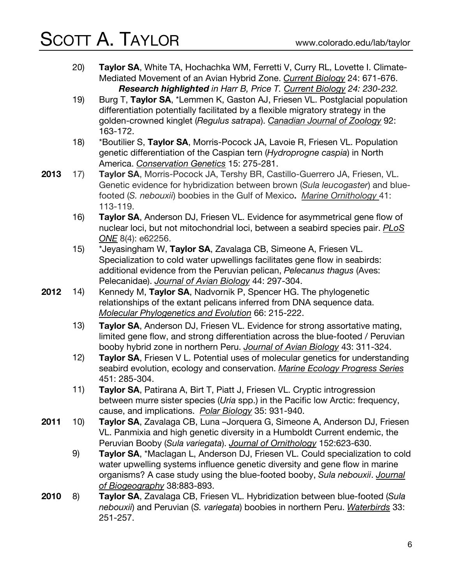- 20) **Taylor SA**, White TA, Hochachka WM, Ferretti V, Curry RL, Lovette I. Climate-Mediated Movement of an Avian Hybrid Zone. *Current Biology* 24: 671-676. *Research highlighted in Harr B, Price T. Current Biology 24: 230-232.*
- 19) Burg T, **Taylor SA**, \*Lemmen K, Gaston AJ, Friesen VL. Postglacial population differentiation potentially facilitated by a flexible migratory strategy in the golden-crowned kinglet (*Regulus satrapa*). *Canadian Journal of Zoology* 92: 163-172.
- 18) \*Boutilier S, **Taylor SA**, Morris-Pocock JA, Lavoie R, Friesen VL. Population genetic differentiation of the Caspian tern (*Hydroprogne caspia*) in North America. *Conservation Genetics* 15: 275-281.
- **2013** 17) **Taylor SA**, Morris-Pocock JA, Tershy BR, Castillo-Guerrero JA, Friesen, VL. Genetic evidence for hybridization between brown (*Sula leucogaster*) and bluefooted (*S. nebouxii*) boobies in the Gulf of Mexico**.** *Marine Ornithology* 41: 113-119.
	- 16) **Taylor SA**, Anderson DJ, Friesen VL. Evidence for asymmetrical gene flow of nuclear loci, but not mitochondrial loci, between a seabird species pair. *PLoS ONE* 8(4): e62256.
	- 15) \*Jeyasingham W, **Taylor SA**, Zavalaga CB, Simeone A, Friesen VL. Specialization to cold water upwellings facilitates gene flow in seabirds: additional evidence from the Peruvian pelican, *Pelecanus thagus* (Aves: Pelecanidae). *Journal of Avian Biology* 44: 297-304.
- **2012** 14) Kennedy M, **Taylor SA**, Nadvornik P, Spencer HG. The phylogenetic relationships of the extant pelicans inferred from DNA sequence data. *Molecular Phylogenetics and Evolution* 66: 215-222.
	- 13) **Taylor SA**, Anderson DJ, Friesen VL. Evidence for strong assortative mating, limited gene flow, and strong differentiation across the blue-footed / Peruvian booby hybrid zone in northern Peru. *Journal of Avian Biology* 43: 311-324.
	- 12) **Taylor SA**, Friesen V L. Potential uses of molecular genetics for understanding seabird evolution, ecology and conservation. *Marine Ecology Progress Series* 451: 285-304.
	- 11) **Taylor SA**, Patirana A, Birt T, Piatt J, Friesen VL. Cryptic introgression between murre sister species (*Uria* spp.) in the Pacific low Arctic: frequency, cause, and implications. *Polar Biology* 35: 931-940.
- **2011** 10) **Taylor SA**, Zavalaga CB, Luna –Jorquera G, Simeone A, Anderson DJ, Friesen VL. Panmixia and high genetic diversity in a Humboldt Current endemic, the Peruvian Booby (*Sula variegata*). *Journal of Ornithology* 152:623-630.
	- 9) **Taylor SA**, \*Maclagan L, Anderson DJ, Friesen VL. Could specialization to cold water upwelling systems influence genetic diversity and gene flow in marine organisms? A case study using the blue-footed booby, *Sula nebouxii*. *Journal of Biogeography* 38:883-893.
- **2010** 8) **Taylor SA**, Zavalaga CB, Friesen VL. Hybridization between blue-footed (*Sula nebouxii*) and Peruvian (*S. variegata*) boobies in northern Peru. *Waterbirds* 33: 251-257.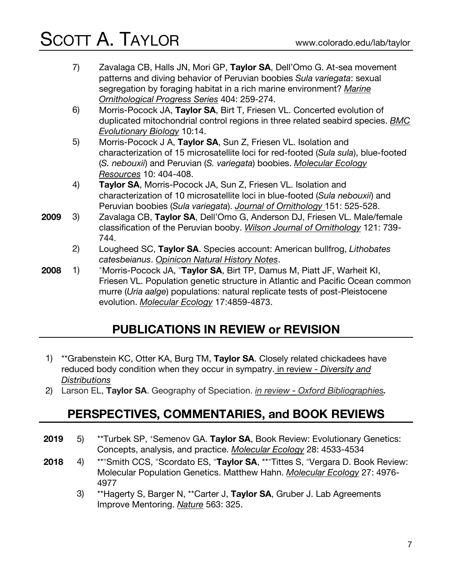- 7) Zavalaga CB, Halls JN, Mori GP, **Taylor SA**, Dell'Omo G. At-sea movement patterns and diving behavior of Peruvian boobies *Sula variegata*: sexual segregation by foraging habitat in a rich marine environment? *Marine Ornithological Progress Series* 404: 259-274.
- 6) Morris-Pocock JA, **Taylor SA**, Birt T, Friesen VL. Concerted evolution of duplicated mitochondrial control regions in three related seabird species. *BMC Evolutionary Biology* 10:14.
- 5) Morris-Pocock J A, **Taylor SA**, Sun Z, Friesen VL. Isolation and characterization of 15 microsatellite loci for red-footed (*Sula sula*), blue-footed (*S. nebouxii*) and Peruvian (*S. variegata*) boobies. *Molecular Ecology Resources* 10: 404-408.
- 4) **Taylor SA**, Morris-Pocock JA, Sun Z, Friesen VL. Isolation and characterization of 10 microsatellite loci in blue-footed (*Sula nebouxii*) and Peruvian boobies (*Sula variegata*). *Journal of Ornithology* 151: 525-528.
- **2009** 3) Zavalaga CB, **Taylor SA**, Dell'Omo G, Anderson DJ, Friesen VL. Male/female classification of the Peruvian booby. *Wilson Journal of Ornithology* 121: 739- 744.
	- 2) Lougheed SC, **Taylor SA**. Species account: American bullfrog, *Lithobates catesbeianus*. *Opinicon Natural History Notes*.
- **2008**  $1)$ Morris-Pocock JA, <sup>-</sup>Taylor SA, Birt TP, Damus M, Piatt JF, Warheit KI, Friesen VL. Population genetic structure in Atlantic and Pacific Ocean common murre (*Uria aalge*) populations: natural replicate tests of post-Pleistocene evolution. *Molecular Ecology* 17:4859-4873.

## **PUBLICATIONS IN REVIEW or REVISION**

- 1) \*\*Grabenstein KC, Otter KA, Burg TM, **Taylor SA**. Closely related chickadees have reduced body condition when they occur in sympatry. in review - *Diversity and Distributions*
- 2) Larson EL, **Taylor SA**. Geography of Speciation. *in review - Oxford Bibliographies.*

### **PERSPECTIVES, COMMENTARIES, and BOOK REVIEWS**

- **2019** 5) \*\*Turbek SP, + Semenov GA. **Taylor SA**, Book Review: Evolutionary Genetics: Concepts, analysis, and practice. *Molecular Ecology* 28: 4533-4534
- **2018** 4) Smith CCS, <sup>=</sup>Scordato ES, <sup>=</sup>Taylor SA, \*\*<sup>=</sup>Tittes S, <sup>=</sup>Vergara D. Book Review: Molecular Population Genetics. Matthew Hahn. *Molecular Ecology* 27: 4976- 4977
	- 3) \*\*Hagerty S, Barger N, \*\*Carter J, **Taylor SA**, Gruber J. Lab Agreements Improve Mentoring. *Nature* 563: 325.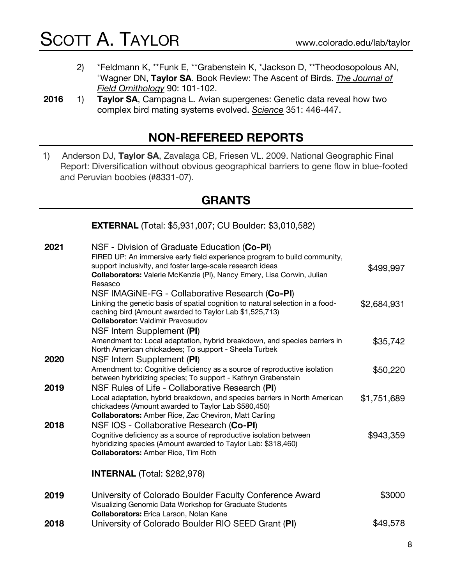- 2) \*Feldmann K, \*\*Funk E, \*\*Grabenstein K, \*Jackson D, \*\*Theodosopolous AN, + Wagner DN, **Taylor SA**. Book Review: The Ascent of Birds. *The Journal of Field Ornithology* 90: 101-102.
- **2016** 1) **Taylor SA**, Campagna L. Avian supergenes: Genetic data reveal how two complex bird mating systems evolved. *Science* 351: 446-447.

### **NON-REFEREED REPORTS**

1) Anderson DJ, **Taylor SA**, Zavalaga CB, Friesen VL. 2009. National Geographic Final Report: Diversification without obvious geographical barriers to gene flow in blue-footed and Peruvian boobies (#8331-07).

### **GRANTS**

**EXTERNAL** (Total: \$5,931,007; CU Boulder: \$3,010,582)

| 2021 | NSF - Division of Graduate Education (Co-PI)<br>FIRED UP: An immersive early field experience program to build community,<br>support inclusivity, and foster large-scale research ideas |             |
|------|-----------------------------------------------------------------------------------------------------------------------------------------------------------------------------------------|-------------|
|      | Collaborators: Valerie McKenzie (PI), Nancy Emery, Lisa Corwin, Julian<br>Resasco                                                                                                       | \$499,997   |
|      | NSF IMAGINE-FG - Collaborative Research (Co-PI)                                                                                                                                         |             |
|      | Linking the genetic basis of spatial cognition to natural selection in a food-<br>caching bird (Amount awarded to Taylor Lab \$1,525,713)                                               | \$2,684,931 |
|      | <b>Collaborator: Valdimir Pravosudov</b>                                                                                                                                                |             |
|      | NSF Intern Supplement (PI)                                                                                                                                                              |             |
|      | Amendment to: Local adaptation, hybrid breakdown, and species barriers in<br>North American chickadees; To support - Sheela Turbek                                                      | \$35,742    |
| 2020 | NSF Intern Supplement (PI)                                                                                                                                                              |             |
|      | Amendment to: Cognitive deficiency as a source of reproductive isolation<br>between hybridizing species; To support - Kathryn Grabenstein                                               | \$50,220    |
| 2019 | NSF Rules of Life - Collaborative Research (PI)<br>Local adaptation, hybrid breakdown, and species barriers in North American                                                           | \$1,751,689 |
|      | chickadees (Amount awarded to Taylor Lab \$580,450)                                                                                                                                     |             |
|      | <b>Collaborators:</b> Amber Rice, Zac Cheviron, Matt Carling                                                                                                                            |             |
| 2018 | NSF IOS - Collaborative Research (Co-PI)                                                                                                                                                |             |
|      | Cognitive deficiency as a source of reproductive isolation between                                                                                                                      | \$943,359   |
|      | hybridizing species (Amount awarded to Taylor Lab: \$318,460)<br><b>Collaborators: Amber Rice, Tim Roth</b>                                                                             |             |
|      | <b>INTERNAL</b> (Total: \$282,978)                                                                                                                                                      |             |
| 2019 | University of Colorado Boulder Faculty Conference Award                                                                                                                                 | \$3000      |
|      | Visualizing Genomic Data Workshop for Graduate Students<br>Collaborators: Erica Larson, Nolan Kane                                                                                      |             |
| 2018 | University of Colorado Boulder RIO SEED Grant (PI)                                                                                                                                      | \$49,578    |
|      |                                                                                                                                                                                         |             |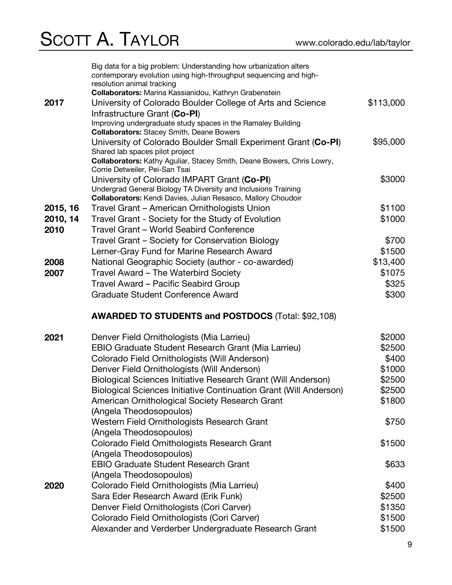|          | Big data for a big problem: Understanding how urbanization alters<br>contemporary evolution using high-throughput sequencing and high-<br>resolution animal tracking |           |
|----------|----------------------------------------------------------------------------------------------------------------------------------------------------------------------|-----------|
|          | Collaborators: Marina Kassianidou, Kathryn Grabenstein                                                                                                               |           |
| 2017     | University of Colorado Boulder College of Arts and Science                                                                                                           | \$113,000 |
|          | Infrastructure Grant (Co-PI)                                                                                                                                         |           |
|          | Improving undergraduate study spaces in the Ramaley Building<br><b>Collaborators:</b> Stacey Smith, Deane Bowers                                                     |           |
|          | University of Colorado Boulder Small Experiment Grant (Co-PI)                                                                                                        | \$95,000  |
|          | Shared lab spaces pilot project                                                                                                                                      |           |
|          | Collaborators: Kathy Aguliar, Stacey Smith, Deane Bowers, Chris Lowry,<br>Corrie Detweiler, Pei-San Tsai                                                             |           |
|          | University of Colorado IMPART Grant (Co-PI)                                                                                                                          | \$3000    |
|          | Undergrad General Biology TA Diversity and Inclusions Training                                                                                                       |           |
|          | Collaborators: Kendi Davies, Julian Resasco, Mallory Choudoir                                                                                                        |           |
| 2015, 16 | Travel Grant – American Ornithologists Union                                                                                                                         | \$1100    |
| 2010, 14 | Travel Grant - Society for the Study of Evolution                                                                                                                    | \$1000    |
| 2010     | Travel Grant - World Seabird Conference                                                                                                                              |           |
|          | Travel Grant – Society for Conservation Biology                                                                                                                      | \$700     |
|          | Lerner-Gray Fund for Marine Research Award                                                                                                                           | \$1500    |
| 2008     | National Geographic Society (author - co-awarded)                                                                                                                    | \$13,400  |
| 2007     | Travel Award – The Waterbird Society                                                                                                                                 | \$1075    |
|          | Travel Award - Pacific Seabird Group                                                                                                                                 | \$325     |
|          | Graduate Student Conference Award                                                                                                                                    | \$300     |
|          |                                                                                                                                                                      |           |
|          | <b>AWARDED TO STUDENTS and POSTDOCS (Total: \$92,108)</b>                                                                                                            |           |
| 2021     | Denver Field Ornithologists (Mia Larrieu)                                                                                                                            | \$2000    |
|          | EBIO Graduate Student Research Grant (Mia Larrieu)                                                                                                                   | \$2500    |
|          | Colorado Field Ornithologists (Will Anderson)                                                                                                                        | \$400     |
|          | Denver Field Ornithologists (Will Anderson)                                                                                                                          | \$1000    |
|          | Biological Sciences Initiative Research Grant (Will Anderson)                                                                                                        | \$2500    |
|          | <b>Biological Sciences Initiative Continuation Grant (Will Anderson)</b>                                                                                             | \$2500    |
|          | American Ornithological Society Research Grant                                                                                                                       | \$1800    |
|          | (Angela Theodosopoulos)                                                                                                                                              |           |
|          | Western Field Ornithologists Research Grant                                                                                                                          | \$750     |
|          | (Angela Theodosopoulos)                                                                                                                                              |           |
|          | Colorado Field Ornithologists Research Grant                                                                                                                         | \$1500    |
|          | (Angela Theodosopoulos)                                                                                                                                              |           |
|          | <b>EBIO Graduate Student Research Grant</b>                                                                                                                          | \$633     |
|          | (Angela Theodosopoulos)                                                                                                                                              |           |
| 2020     | Colorado Field Ornithologists (Mia Larrieu)                                                                                                                          | \$400     |
|          | Sara Eder Research Award (Erik Funk)                                                                                                                                 | \$2500    |
|          | Denver Field Ornithologists (Cori Carver)                                                                                                                            | \$1350    |
|          | Colorado Field Ornithologists (Cori Carver)                                                                                                                          | \$1500    |
|          | Alexander and Verderber Undergraduate Research Grant                                                                                                                 | \$1500    |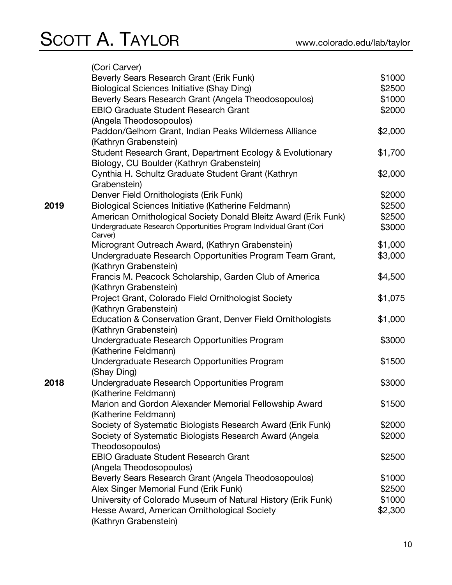|      | (Cori Carver)                                                       |                  |
|------|---------------------------------------------------------------------|------------------|
|      | Beverly Sears Research Grant (Erik Funk)                            | \$1000           |
|      | <b>Biological Sciences Initiative (Shay Ding)</b>                   | \$2500           |
|      | Beverly Sears Research Grant (Angela Theodosopoulos)                | \$1000           |
|      | <b>EBIO Graduate Student Research Grant</b>                         | \$2000           |
|      | (Angela Theodosopoulos)                                             |                  |
|      | Paddon/Gelhorn Grant, Indian Peaks Wilderness Alliance              | \$2,000          |
|      | (Kathryn Grabenstein)                                               |                  |
|      | Student Research Grant, Department Ecology & Evolutionary           | \$1,700          |
|      | Biology, CU Boulder (Kathryn Grabenstein)                           |                  |
|      | Cynthia H. Schultz Graduate Student Grant (Kathryn                  | \$2,000          |
|      | Grabenstein)                                                        |                  |
|      | Denver Field Ornithologists (Erik Funk)                             | \$2000           |
| 2019 | Biological Sciences Initiative (Katherine Feldmann)                 | \$2500           |
|      | American Ornithological Society Donald Bleitz Award (Erik Funk)     | \$2500           |
|      | Undergraduate Research Opportunities Program Individual Grant (Cori | \$3000           |
|      | Carver)                                                             |                  |
|      | Microgrant Outreach Award, (Kathryn Grabenstein)                    | \$1,000          |
|      | Undergraduate Research Opportunities Program Team Grant,            | \$3,000          |
|      | (Kathryn Grabenstein)                                               |                  |
|      | Francis M. Peacock Scholarship, Garden Club of America              | \$4,500          |
|      | (Kathryn Grabenstein)                                               |                  |
|      | Project Grant, Colorado Field Ornithologist Society                 | \$1,075          |
|      | (Kathryn Grabenstein)                                               |                  |
|      | Education & Conservation Grant, Denver Field Ornithologists         | \$1,000          |
|      | (Kathryn Grabenstein)                                               |                  |
|      | Undergraduate Research Opportunities Program                        | \$3000           |
|      | (Katherine Feldmann)                                                |                  |
|      | Undergraduate Research Opportunities Program                        | \$1500           |
|      | (Shay Ding)                                                         |                  |
| 2018 | Undergraduate Research Opportunities Program                        | \$3000           |
|      | (Katherine Feldmann)                                                |                  |
|      | Marion and Gordon Alexander Memorial Fellowship Award               | \$1500           |
|      | (Katherine Feldmann)                                                |                  |
|      | Society of Systematic Biologists Research Award (Erik Funk)         | \$2000           |
|      | Society of Systematic Biologists Research Award (Angela             | \$2000           |
|      | Theodosopoulos)<br><b>EBIO Graduate Student Research Grant</b>      |                  |
|      |                                                                     | \$2500           |
|      | (Angela Theodosopoulos)                                             | \$1000           |
|      | Beverly Sears Research Grant (Angela Theodosopoulos)                |                  |
|      | Alex Singer Memorial Fund (Erik Funk)                               | \$2500<br>\$1000 |
|      | University of Colorado Museum of Natural History (Erik Funk)        |                  |
|      | Hesse Award, American Ornithological Society                        | \$2,300          |
|      | (Kathryn Grabenstein)                                               |                  |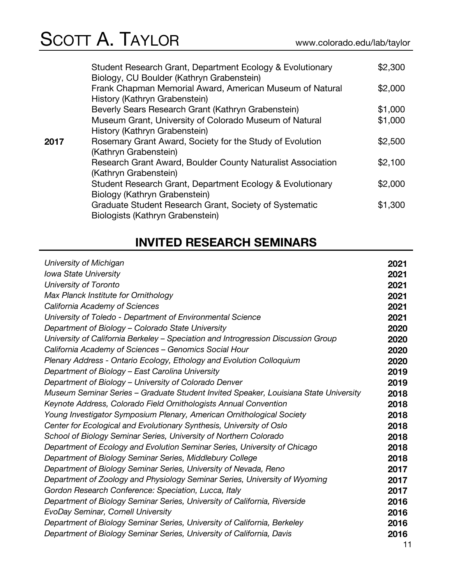| Student Research Grant, Department Ecology & Evolutionary                                  | \$2,300                                                                                                                                      |
|--------------------------------------------------------------------------------------------|----------------------------------------------------------------------------------------------------------------------------------------------|
| Frank Chapman Memorial Award, American Museum of Natural                                   | \$2,000                                                                                                                                      |
| Beverly Sears Research Grant (Kathryn Grabenstein)                                         | \$1,000                                                                                                                                      |
| Museum Grant, University of Colorado Museum of Natural                                     | \$1,000                                                                                                                                      |
| Rosemary Grant Award, Society for the Study of Evolution<br>(Kathryn Grabenstein)          | \$2,500                                                                                                                                      |
| Research Grant Award, Boulder County Naturalist Association<br>(Kathryn Grabenstein)       | \$2,100                                                                                                                                      |
| Student Research Grant, Department Ecology & Evolutionary                                  | \$2,000                                                                                                                                      |
| Graduate Student Research Grant, Society of Systematic<br>Biologists (Kathryn Grabenstein) | \$1,300                                                                                                                                      |
|                                                                                            | Biology, CU Boulder (Kathryn Grabenstein)<br>History (Kathryn Grabenstein)<br>History (Kathryn Grabenstein)<br>Biology (Kathryn Grabenstein) |

## **INVITED RESEARCH SEMINARS**

| University of Michigan                                                               | 2021 |
|--------------------------------------------------------------------------------------|------|
| <b>Iowa State University</b>                                                         | 2021 |
| University of Toronto                                                                | 2021 |
| Max Planck Institute for Ornithology                                                 | 2021 |
| California Academy of Sciences                                                       | 2021 |
| University of Toledo - Department of Environmental Science                           | 2021 |
| Department of Biology - Colorado State University                                    | 2020 |
| University of California Berkeley - Speciation and Introgression Discussion Group    | 2020 |
| California Academy of Sciences - Genomics Social Hour                                | 2020 |
| Plenary Address - Ontario Ecology, Ethology and Evolution Colloquium                 | 2020 |
| Department of Biology - East Carolina University                                     | 2019 |
| Department of Biology – University of Colorado Denver                                | 2019 |
| Museum Seminar Series - Graduate Student Invited Speaker, Louisiana State University | 2018 |
| Keynote Address, Colorado Field Ornithologists Annual Convention                     | 2018 |
| Young Investigator Symposium Plenary, American Ornithological Society                | 2018 |
| Center for Ecological and Evolutionary Synthesis, University of Oslo                 | 2018 |
| School of Biology Seminar Series, University of Northern Colorado                    | 2018 |
| Department of Ecology and Evolution Seminar Series, University of Chicago            | 2018 |
| Department of Biology Seminar Series, Middlebury College                             | 2018 |
| Department of Biology Seminar Series, University of Nevada, Reno                     | 2017 |
| Department of Zoology and Physiology Seminar Series, University of Wyoming           | 2017 |
| Gordon Research Conference: Speciation, Lucca, Italy                                 | 2017 |
| Department of Biology Seminar Series, University of California, Riverside            | 2016 |
| EvoDay Seminar, Cornell University                                                   | 2016 |
| Department of Biology Seminar Series, University of California, Berkeley             | 2016 |
| Department of Biology Seminar Series, University of California, Davis                | 2016 |
|                                                                                      |      |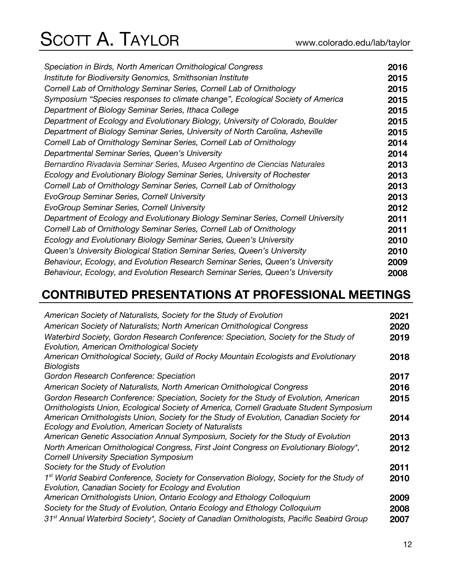| Speciation in Birds, North American Ornithological Congress                       | 2016 |
|-----------------------------------------------------------------------------------|------|
| Institute for Biodiversity Genomics, Smithsonian Institute                        | 2015 |
| Cornell Lab of Ornithology Seminar Series, Cornell Lab of Ornithology             | 2015 |
| Symposium "Species responses to climate change", Ecological Society of America    | 2015 |
| Department of Biology Seminar Series, Ithaca College                              | 2015 |
| Department of Ecology and Evolutionary Biology, University of Colorado, Boulder   | 2015 |
| Department of Biology Seminar Series, University of North Carolina, Asheville     | 2015 |
| Cornell Lab of Ornithology Seminar Series, Cornell Lab of Ornithology             | 2014 |
| Departmental Seminar Series, Queen's University                                   | 2014 |
| Bernardino Rivadavia Seminar Series, Museo Argentino de Ciencias Naturales        | 2013 |
| Ecology and Evolutionary Biology Seminar Series, University of Rochester          | 2013 |
| Cornell Lab of Ornithology Seminar Series, Cornell Lab of Ornithology             | 2013 |
| EvoGroup Seminar Series, Cornell University                                       | 2013 |
| EvoGroup Seminar Series, Cornell University                                       | 2012 |
| Department of Ecology and Evolutionary Biology Seminar Series, Cornell University | 2011 |
| Cornell Lab of Ornithology Seminar Series, Cornell Lab of Ornithology             | 2011 |
| Ecology and Evolutionary Biology Seminar Series, Queen's University               | 2010 |
| Queen's University Biological Station Seminar Series, Queen's University          | 2010 |
| Behaviour, Ecology, and Evolution Research Seminar Series, Queen's University     | 2009 |
| Behaviour, Ecology, and Evolution Research Seminar Series, Queen's University     | 2008 |

## **CONTRIBUTED PRESENTATIONS AT PROFESSIONAL MEETINGS**

| American Society of Naturalists, Society for the Study of Evolution                                   | 2021 |
|-------------------------------------------------------------------------------------------------------|------|
| American Society of Naturalists; North American Ornithological Congress                               | 2020 |
|                                                                                                       |      |
| Waterbird Society, Gordon Research Conference: Speciation, Society for the Study of                   | 2019 |
| Evolution, American Ornithological Society                                                            |      |
| American Ornithological Society, Guild of Rocky Mountain Ecologists and Evolutionary                  | 2018 |
| <b>Biologists</b>                                                                                     |      |
| Gordon Research Conference: Speciation                                                                | 2017 |
| American Society of Naturalists, North American Ornithological Congress                               | 2016 |
| Gordon Research Conference: Speciation, Society for the Study of Evolution, American                  | 2015 |
| Ornithologists Union, Ecological Society of America, Cornell Graduate Student Symposium               |      |
| American Ornithologists Union, Society for the Study of Evolution, Canadian Society for               | 2014 |
| Ecology and Evolution, American Society of Naturalists                                                |      |
| American Genetic Association Annual Symposium, Society for the Study of Evolution                     | 2013 |
| North American Ornithological Congress, First Joint Congress on Evolutionary Biology*,                | 2012 |
| <b>Cornell University Speciation Symposium</b>                                                        |      |
| Society for the Study of Evolution                                                                    | 2011 |
| 1 <sup>st</sup> World Seabird Conference, Society for Conservation Biology, Society for the Study of  | 2010 |
| Evolution, Canadian Society for Ecology and Evolution                                                 |      |
| American Ornithologists Union, Ontario Ecology and Ethology Colloquium                                | 2009 |
| Society for the Study of Evolution, Ontario Ecology and Ethology Colloquium                           | 2008 |
| 31 <sup>st</sup> Annual Waterbird Society*, Society of Canadian Ornithologists, Pacific Seabird Group | 2007 |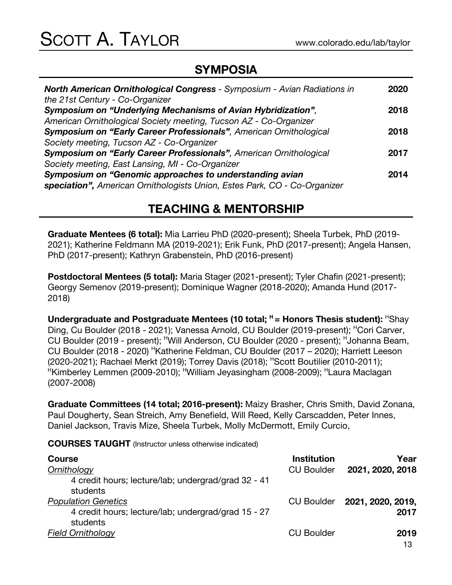### **SYMPOSIA**

| <b>North American Ornithological Congress - Symposium - Avian Radiations in</b> | 2020 |
|---------------------------------------------------------------------------------|------|
| the 21st Century - Co-Organizer                                                 |      |
| Symposium on "Underlying Mechanisms of Avian Hybridization",                    | 2018 |
| American Ornithological Society meeting, Tucson AZ - Co-Organizer               |      |
| Symposium on "Early Career Professionals", American Ornithological              | 2018 |
| Society meeting, Tucson AZ - Co-Organizer                                       |      |
| Symposium on "Early Career Professionals", American Ornithological              | 2017 |
| Society meeting, East Lansing, MI - Co-Organizer                                |      |
| Symposium on "Genomic approaches to understanding avian                         | 2014 |
| speciation", American Ornithologists Union, Estes Park, CO - Co-Organizer       |      |

### **TEACHING & MENTORSHIP**

**Graduate Mentees (6 total):** Mia Larrieu PhD (2020-present); Sheela Turbek, PhD (2019- 2021); Katherine Feldmann MA (2019-2021); Erik Funk, PhD (2017-present); Angela Hansen, PhD (2017-present); Kathryn Grabenstein, PhD (2016-present)

**Postdoctoral Mentees (5 total):** Maria Stager (2021-present); Tyler Chafin (2021-present); Georgy Semenov (2019-present); Dominique Wagner (2018-2020); Amanda Hund (2017- 2018)

**Undergraduate and Postgraduate Mentees (10 total;**  $H =$  **Honors Thesis student):**  $H$ Shay Ding, Cu Boulder (2018 - 2021); Vanessa Arnold, CU Boulder (2019-present); <sup>H</sup>Cori Carver, CU Boulder (2019 - present); <sup>H</sup>Will Anderson, CU Boulder (2020 - present); <sup>H</sup>Johanna Beam, CU Boulder (2018 - 2020) <sup>H</sup>Katherine Feldman, CU Boulder (2017 – 2020); Harriett Leeson (2020-2021); Rachael Merkt (2019); Torrey Davis (2018); HScott Boutilier (2010-2011); HKimberley Lemmen (2009-2010); HWilliam Jeyasingham (2008-2009); HLaura Maclagan (2007-2008)

**Graduate Committees (14 total; 2016-present):** Maizy Brasher, Chris Smith, David Zonana, Paul Dougherty, Sean Streich, Amy Benefield, Will Reed, Kelly Carscadden, Peter Innes, Daniel Jackson, Travis Mize, Sheela Turbek, Molly McDermott, Emily Curcio,

**COURSES TAUGHT** (Instructor unless otherwise indicated)

| <b>Course</b><br>Ornithology                                                      | <b>Institution</b><br><b>CU Boulder</b> | Year<br>2021, 2020, 2018  |
|-----------------------------------------------------------------------------------|-----------------------------------------|---------------------------|
| 4 credit hours; lecture/lab; undergrad/grad 32 - 41<br>students                   |                                         |                           |
| <b>Population Genetics</b><br>4 credit hours; lecture/lab; undergrad/grad 15 - 27 | <b>CU Boulder</b>                       | 2021, 2020, 2019,<br>2017 |
| students<br><b>Field Ornithology</b>                                              | <b>CU Boulder</b>                       | 2019<br>$\sim$            |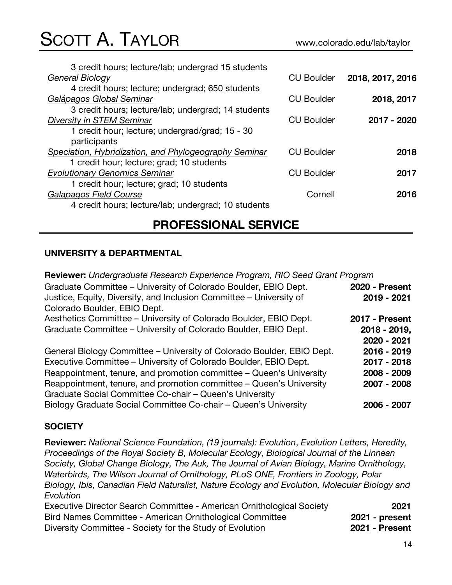| 3 credit hours; lecture/lab; undergrad 15 students    |                   |                  |
|-------------------------------------------------------|-------------------|------------------|
| General Biology                                       | <b>CU Boulder</b> | 2018, 2017, 2016 |
| 4 credit hours; lecture; undergrad; 650 students      |                   |                  |
| Galápagos Global Seminar                              | <b>CU Boulder</b> | 2018, 2017       |
| 3 credit hours; lecture/lab; undergrad; 14 students   |                   |                  |
| <b>Diversity in STEM Seminar</b>                      | <b>CU Boulder</b> | 2017 - 2020      |
| 1 credit hour; lecture; undergrad/grad; 15 - 30       |                   |                  |
| participants                                          |                   |                  |
| Speciation, Hybridization, and Phylogeography Seminar | <b>CU Boulder</b> | 2018             |
| 1 credit hour; lecture; grad; 10 students             |                   |                  |
| <b>Evolutionary Genomics Seminar</b>                  | <b>CU Boulder</b> | 2017             |
| 1 credit hour; lecture; grad; 10 students             |                   |                  |
| Galapagos Field Course                                | Cornell           | 2016             |
| 4 credit hours; lecture/lab; undergrad; 10 students   |                   |                  |
|                                                       |                   |                  |

### **PROFESSIONAL SERVICE**

#### **UNIVERSITY & DEPARTMENTAL**

**Reviewer:** *Undergraduate Research Experience Program, RIO Seed Grant Program* Graduate Committee – University of Colorado Boulder, EBIO Dept. **2020 - Present** Justice, Equity, Diversity, and Inclusion Committee – University of Colorado Boulder, EBIO Dept. **2019 - 2021** Aesthetics Committee – University of Colorado Boulder, EBIO Dept. **2017 - Present** Graduate Committee – University of Colorado Boulder, EBIO Dept. **2018 - 2019, 2020 - 2021** General Biology Committee – University of Colorado Boulder, EBIO Dept. **2016 - 2019** Executive Committee – University of Colorado Boulder, EBIO Dept. **2017 - 2018** Reappointment, tenure, and promotion committee – Queen's University **2008 - 2009** Reappointment, tenure, and promotion committee – Queen's University **2007 - 2008**

Graduate Social Committee Co-chair – Queen's University Biology Graduate Social Committee Co-chair – Queen's University **2006 - 2007**

#### **SOCIETY**

**Reviewer:** *National Science Foundation, (19 journals): Evolution*, *Evolution Letters, Heredity, Proceedings of the Royal Society B, Molecular Ecology, Biological Journal of the Linnean Society, Global Change Biology, The Auk, The Journal of Avian Biology, Marine Ornithology, Waterbirds, The Wilson Journal of Ornithology, PLoS ONE, Frontiers in Zoology, Polar Biology, Ibis, Canadian Field Naturalist, Nature Ecology and Evolution, Molecular Biology and Evolution* Executive Director Search Committee - American Ornithological Society **2021** Bird Names Committee - American Ornithological Committee **2021 - present**

Diversity Committee - Society for the Study of Evolution **2021 - Present**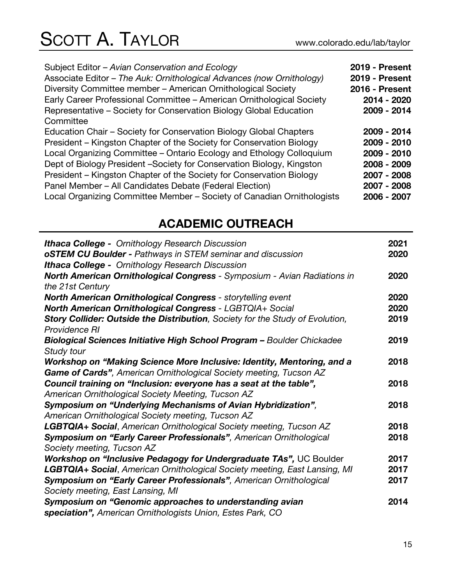| Subject Editor - Avian Conservation and Ecology<br>Associate Editor - The Auk: Ornithological Advances (now Ornithology)<br>Diversity Committee member - American Ornithological Society<br>Early Career Professional Committee - American Ornithological Society<br>Representative – Society for Conservation Biology Global Education<br>Committee | <b>2019 - Present</b><br><b>2019 - Present</b><br>2016 - Present<br>2014 - 2020<br>2009 - 2014 |
|------------------------------------------------------------------------------------------------------------------------------------------------------------------------------------------------------------------------------------------------------------------------------------------------------------------------------------------------------|------------------------------------------------------------------------------------------------|
| Education Chair - Society for Conservation Biology Global Chapters                                                                                                                                                                                                                                                                                   | 2009 - 2014                                                                                    |
| President - Kingston Chapter of the Society for Conservation Biology                                                                                                                                                                                                                                                                                 | 2009 - 2010                                                                                    |
| Local Organizing Committee - Ontario Ecology and Ethology Colloquium                                                                                                                                                                                                                                                                                 | 2009 - 2010                                                                                    |
| Dept of Biology President -Society for Conservation Biology, Kingston                                                                                                                                                                                                                                                                                | 2008 - 2009                                                                                    |
| President – Kingston Chapter of the Society for Conservation Biology                                                                                                                                                                                                                                                                                 | 2007 - 2008                                                                                    |
| Panel Member - All Candidates Debate (Federal Election)                                                                                                                                                                                                                                                                                              | 2007 - 2008                                                                                    |
| Local Organizing Committee Member - Society of Canadian Ornithologists                                                                                                                                                                                                                                                                               | 2006 - 2007                                                                                    |

## **ACADEMIC OUTREACH**

| <b>Ithaca College -</b> Ornithology Research Discussion                            | 2021 |
|------------------------------------------------------------------------------------|------|
| oSTEM CU Boulder - Pathways in STEM seminar and discussion                         | 2020 |
| <b>Ithaca College -</b> Ornithology Research Discussion                            |      |
| North American Ornithological Congress - Symposium - Avian Radiations in           | 2020 |
| the 21st Century                                                                   |      |
| <b>North American Ornithological Congress - storytelling event</b>                 | 2020 |
| <b>North American Ornithological Congress - LGBTQIA+ Social</b>                    | 2020 |
| Story Collider: Outside the Distribution, Society for the Study of Evolution,      | 2019 |
| Providence RI                                                                      |      |
| Biological Sciences Initiative High School Program - Boulder Chickadee             | 2019 |
| Study tour                                                                         |      |
| Workshop on "Making Science More Inclusive: Identity, Mentoring, and a             | 2018 |
| Game of Cards", American Ornithological Society meeting, Tucson AZ                 |      |
| Council training on "Inclusion: everyone has a seat at the table",                 | 2018 |
| American Ornithological Society Meeting, Tucson AZ                                 |      |
| Symposium on "Underlying Mechanisms of Avian Hybridization",                       | 2018 |
| American Ornithological Society meeting, Tucson AZ                                 |      |
| LGBTQIA+ Social, American Ornithological Society meeting, Tucson AZ                | 2018 |
| Symposium on "Early Career Professionals", American Ornithological                 | 2018 |
| Society meeting, Tucson AZ                                                         |      |
| Workshop on "Inclusive Pedagogy for Undergraduate TAs", UC Boulder                 | 2017 |
| <b>LGBTQIA+ Social</b> , American Ornithological Society meeting, East Lansing, MI | 2017 |
| Symposium on "Early Career Professionals", American Ornithological                 | 2017 |
| Society meeting, East Lansing, MI                                                  |      |
| Symposium on "Genomic approaches to understanding avian                            | 2014 |
| speciation", American Ornithologists Union, Estes Park, CO                         |      |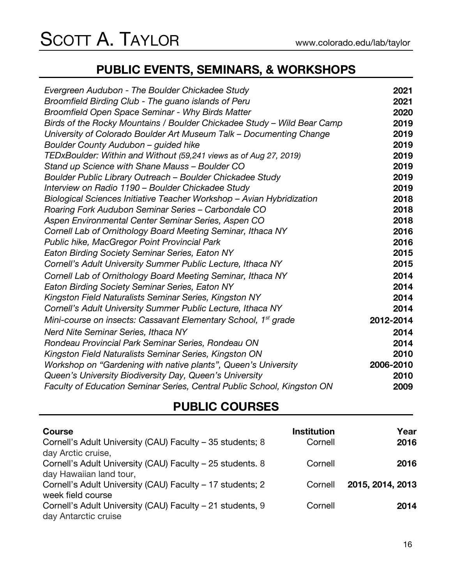## **PUBLIC EVENTS, SEMINARS, & WORKSHOPS**

| Evergreen Audubon - The Boulder Chickadee Study                            | 2021      |
|----------------------------------------------------------------------------|-----------|
| Broomfield Birding Club - The guano islands of Peru                        | 2021      |
| Broomfield Open Space Seminar - Why Birds Matter                           | 2020      |
| Birds of the Rocky Mountains / Boulder Chickadee Study - Wild Bear Camp    | 2019      |
| University of Colorado Boulder Art Museum Talk – Documenting Change        | 2019      |
| Boulder County Audubon - guided hike                                       | 2019      |
| TEDxBoulder: Within and Without (59,241 views as of Aug 27, 2019)          | 2019      |
| Stand up Science with Shane Mauss - Boulder CO                             | 2019      |
| Boulder Public Library Outreach - Boulder Chickadee Study                  | 2019      |
| Interview on Radio 1190 - Boulder Chickadee Study                          | 2019      |
| Biological Sciences Initiative Teacher Workshop - Avian Hybridization      | 2018      |
| Roaring Fork Audubon Seminar Series - Carbondale CO                        | 2018      |
| Aspen Environmental Center Seminar Series, Aspen CO                        | 2018      |
| Cornell Lab of Ornithology Board Meeting Seminar, Ithaca NY                | 2016      |
| Public hike, MacGregor Point Provincial Park                               | 2016      |
| <b>Eaton Birding Society Seminar Series, Eaton NY</b>                      | 2015      |
| Cornell's Adult University Summer Public Lecture, Ithaca NY                | 2015      |
| Cornell Lab of Ornithology Board Meeting Seminar, Ithaca NY                | 2014      |
| <b>Eaton Birding Society Seminar Series, Eaton NY</b>                      | 2014      |
| Kingston Field Naturalists Seminar Series, Kingston NY                     | 2014      |
| Cornell's Adult University Summer Public Lecture, Ithaca NY                | 2014      |
| Mini-course on insects: Cassavant Elementary School, 1 <sup>st</sup> grade | 2012-2014 |
| Nerd Nite Seminar Series, Ithaca NY                                        | 2014      |
| Rondeau Provincial Park Seminar Series, Rondeau ON                         | 2014      |
| Kingston Field Naturalists Seminar Series, Kingston ON                     | 2010      |
| Workshop on "Gardening with native plants", Queen's University             | 2006-2010 |
| Queen's University Biodiversity Day, Queen's University                    | 2010      |
| Faculty of Education Seminar Series, Central Public School, Kingston ON    | 2009      |

### **PUBLIC COURSES**

| <b>Course</b>                                             | <b>Institution</b> | Year             |
|-----------------------------------------------------------|--------------------|------------------|
| Cornell's Adult University (CAU) Faculty - 35 students; 8 | Cornell            | 2016             |
| day Arctic cruise,                                        |                    |                  |
| Cornell's Adult University (CAU) Faculty - 25 students. 8 | Cornell            | 2016             |
| day Hawaiian land tour,                                   |                    |                  |
| Cornell's Adult University (CAU) Faculty - 17 students; 2 | Cornell            | 2015, 2014, 2013 |
| week field course                                         |                    |                  |
| Cornell's Adult University (CAU) Faculty - 21 students, 9 | Cornell            | 2014             |
| day Antarctic cruise                                      |                    |                  |